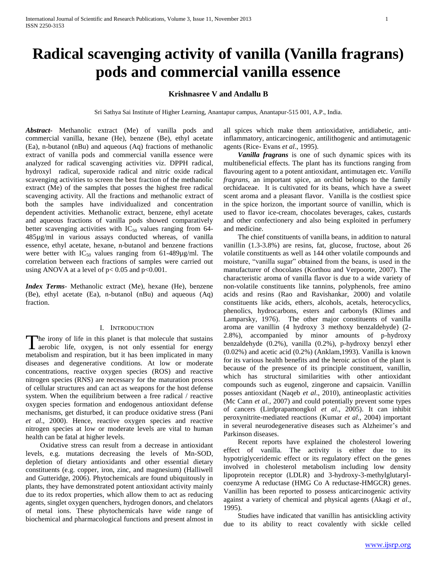# **Radical scavenging activity of vanilla (Vanilla fragrans) pods and commercial vanilla essence**

# **Krishnasree V and Andallu B**

Sri Sathya Sai Institute of Higher Learning, Anantapur campus, Anantapur-515 001, A.P., India.

*Abstract***-** Methanolic extract (Me) of vanilla pods and commercial vanilla, hexane (He), benzene (Be), ethyl acetate (Ea), n-butanol (nBu) and aqueous (Aq) fractions of methanolic extract of vanilla pods and commercial vanilla essence were analyzed for radical scavenging activities viz. DPPH radical, hydroxyl radical, superoxide radical and nitric oxide radical scavenging activities to screen the best fraction of the methanolic extract (Me) of the samples that posses the highest free radical scavenging activity. All the fractions and methanolic extract of both the samples have individualized and concentration dependent activities. Methanolic extract, benzene, ethyl acetate and aqueous fractions of vanilla pods showed comparatively better scavenging activities with  $IC_{50}$  values ranging from 64-485µg/ml in various assays conducted whereas, of vanilla essence, ethyl acetate, hexane, n-butanol and benzene fractions were better with  $IC_{50}$  values ranging from 61-489 $\mu$ g/ml. The correlation between each fractions of samples were carried out using ANOVA at a level of  $p < 0.05$  and  $p < 0.001$ .

*Index Terms*- Methanolic extract (Me), hexane (He), benzene (Be), ethyl acetate (Ea), n-butanol (nBu) and aqueous (Aq) fraction.

## I. INTRODUCTION

The irony of life in this planet is that molecule that sustains The irony of life in this planet is that molecule that sustains aerobic life, oxygen, is not only essential for energy metabolism and respiration, but it has been implicated in many diseases and degenerative conditions. At low or moderate concentrations, reactive oxygen species (ROS) and reactive nitrogen species (RNS) are necessary for the maturation process of cellular structures and can act as weapons for the host defense system. When the equilibrium between a free radical / reactive oxygen species formation and endogenous antioxidant defense mechanisms, get disturbed, it can produce oxidative stress (Pani *et al*., 2000). Hence, reactive oxygen species and reactive nitrogen species at low or moderate levels are vital to human health can be fatal at higher levels.

 Oxidative stress can result from a decrease in antioxidant levels, e.g. mutations decreasing the levels of Mn-SOD, depletion of dietary antioxidants and other essential dietary constituents (e.g. copper, iron, zinc, and magnesium) (Halliwell and Gutteridge, 2006). Phytochemicals are found ubiquitously in plants, they have demonstrated potent antioxidant activity mainly due to its redox properties, which allow them to act as reducing agents, singlet oxygen quenchers, hydrogen donors, and chelators of metal ions. These phytochemicals have wide range of biochemical and pharmacological functions and present almost in

all spices which make them antioxidative, antidiabetic, antiinflammatory, anticarcinogenic, antilithogenic and antimutagenic agents (Rice- Evans *et al*., 1995).

 *Vanilla fragrans* is one of such dynamic spices with its multibeneficial effects. The plant has its functions ranging from flavouring agent to a potent antioxidant, antimutagen etc. *Vanilla fragrans,* an important spice, an orchid belongs to the family orchidaceae. It is cultivated for its beans, which have a sweet scent aroma and a pleasant flavor. Vanilla is the costliest spice in the spice horizon, the important source of vanillin, which is used to flavor ice-cream, chocolates beverages, cakes, custards and other confectionery and also being exploited in perfumery and medicine.

 The chief constituents of vanilla beans, in addition to natural vanillin (1.3-3.8%) are resins, fat, glucose, fructose, about 26 volatile constituents as well as 144 other volatile compounds and moisture, "vanilla sugar" obtained from the beans, is used in the manufacturer of chocolates (Korthou and Verpoorte, 2007). The characteristic aroma of vanilla flavor is due to a wide variety of non-volatile constituents like tannins, polyphenols, free amino acids and resins (Rao and Ravishankar, 2000) and volatile constituents like acids, ethers, alcohols, acetals, heterocyclics, phenolics, hydrocarbons, esters and carbonyls (Klimes and Lamparsky, 1976). The other major constituents of vanilla aroma are vanillin (4 hydroxy 3 methoxy benzaldehyde) (2- 2.8%), accompanied by minor amounts of p-hydroxy benzaldehyde (0.2%), vanilla (0.2%), p-hydroxy benzyl ether (0.02%) and acetic acid (0.2%) (Anklam,1993). Vanilla is known for its various health benefits and the heroic action of the plant is because of the presence of its principle constituent, vanillin, which has structural similarities with other antioxidant compounds such as eugenol, zingerone and capsaicin. Vanillin posses antioxidant (Naqeb *et al*., 2010), antineoplastic activities (Mc Cann *et al.,* 2007) and could potentially prevent some types of cancers (Lirdprapamongkol *et al*., 2005). It can inhibit peroxynitrite-mediated reactions (Kumar *et al*., 2004) important in several neurodegenerative diseases such as Alzheimer's and Parkinson diseases.

 Recent reports have explained the cholesterol lowering effect of vanilla. The activity is either due to its hypotriglyceridemic effect or its regulatory effect on the genes involved in cholesterol metabolism including low density lipoprotein receptor (LDLR) and 3-hydroxy-3-methylglutarylcoenzyme A reductase (HMG Co A reductase-HMGCR) genes. Vanillin has been reported to possess anticarcinogenic activity against a variety of chemical and physical agents (Akagi *et al*., 1995).

 Studies have indicated that vanillin has antisickling activity due to its ability to react covalently with sickle celled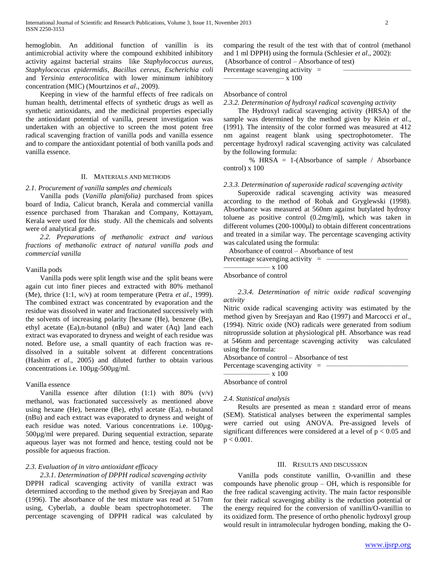hemoglobin. An additional function of vanillin is its antimicrobial activity where the compound exhibited inhibitory activity against bacterial strains like *Staphylococcus aureus*, *Staphylococcus epidermidis*, *Bacillus cereus*, *Escherichia coli* and *Yersinia enterocolitica* with lower minimum inhibitory concentration (MIC) (Mourtzinos *et al*., 2009).

 Keeping in view of the harmful effects of free radicals on human health, detrimental effects of synthetic drugs as well as synthetic antioxidants, and the medicinal properties especially the antioxidant potential of vanilla, present investigation was undertaken with an objective to screen the most potent free radical scavenging fraction of vanilla pods and vanilla essence and to compare the antioxidant potential of both vanilla pods and vanilla essence.

# II. MATERIALS AND METHODS

# *2.1. Procurement of vanilla samples and chemicals*

 Vanilla pods (*Vanilla planifolia)* purchased from spices board of India, Calicut branch, Kerala and commercial vanilla essence purchased from Tharakan and Company, Kottayam, Kerala were used for this study. All the chemicals and solvents were of analytical grade.

 *2.2. Preparations of methanolic extract and various fractions of methanolic extract of natural vanilla pods and commercial vanilla*

# Vanilla pods

 Vanilla pods were split length wise and the split beans were again cut into finer pieces and extracted with 80% methanol (Me), thrice (1:1, w/v) at room temperature (Petra *et al*., 1999). The combined extract was concentrated by evaporation and the residue was dissolved in water and fractionated successively with the solvents of increasing polarity [hexane (He), benzene (Be), ethyl acetate (Ea),n-butanol (nBu) and water (Aq) land each extract was evaporated to dryness and weight of each residue was noted. Before use, a small quantity of each fraction was redissolved in a suitable solvent at different concentrations (Hashim *et al*., 2005) and diluted further to obtain various concentrations i.e. 100µg-500µg/ml.

# Vanilla essence

Vanilla essence after dilution  $(1:1)$  with  $80\%$   $(v/v)$ methanol, was fractionated successively as mentioned above using hexane (He), benzene (Be), ethyl acetate (Ea), n-butanol (nBu) and each extract was evaporated to dryness and weight of each residue was noted. Various concentrations i.e. 100µg-500µg/ml were prepared. During sequential extraction, separate aqueous layer was not formed and hence, testing could not be possible for aqueous fraction.

# *2.3. Evaluation of in vitro antioxidant efficacy*

 *2.3.1. Determination of DPPH radical scavenging activity* DPPH radical scavenging activity of vanilla extract was determined according to the method given by Sreejayan and Rao (1996). The absorbance of the test mixture was read at 517nm using, Cyberlab, a double beam spectrophotometer. The percentage scavenging of DPPH radical was calculated by

comparing the result of the test with that of control (methanol and 1 ml DPPH) using the formula (Schlesier *et al*., 2002):

(Absorbance of control – Absorbance of test)

Percentage scavenging activity  $=$ ––––––––––––––––– x 100

# Absorbance of control

# *2.3.2. Determination of hydroxyl radical scavenging activity*

 The Hydroxyl radical scavenging activity (HRSA) of the sample was determined by the method given by Klein *et al.,* (1991). The intensity of the color formed was measured at 412 nm against reagent blank using spectrophotometer. The percentage hydroxyl radical scavenging activity was calculated by the following formula:

% HRSA = 1-(Absorbance of sample / Absorbance control) x 100

# *2.3.3. Determination of superoxide radical scavenging activity*

 Superoxide radical scavenging activity was measured according to the method of Robak and Gryglewski (1998). Absorbance was measured at 560nm against butylated hydroxy toluene as positive control (0.2mg/ml), which was taken in different volumes  $(200-1000\mu l)$  to obtain different concentrations and treated in a similar way. The percentage scavenging activity was calculated using the formula:

Absorbance of control – Absorbance of test

| Percentage scavenging activity $=$ |  |
|------------------------------------|--|
| $\sim$ x 100                       |  |
| Absorbance of control              |  |

 *2.3.4. Determination of nitric oxide radical scavenging activity*

Nitric oxide radical scavenging activity was estimated by the method given by Sreejayan and Rao (1997) and Marcocci *et al*., (1994). Nitric oxide (NO) radicals were generated from sodium nitroprusside solution at physiological pH. Absorbance was read at 546nm and percentage scavenging activity was calculated using the formula:

Absorbance of control – Absorbance of test

Percentage scavenging activity  $=$  – ––––––––––––– x 100

Absorbance of control

# *2.4. Statistical analysis*

Results are presented as mean  $\pm$  standard error of means (SEM). Statistical analyses between the experimental samples were carried out using ANOVA. Pre-assigned levels of significant differences were considered at a level of  $p < 0.05$  and  $p < 0.001$ .

### III. RESULTS AND DISCUSSION

 Vanilla pods constitute vanillin, O-vanillin and these compounds have phenolic group – OH, which is responsible for the free radical scavenging activity. The main factor responsible for their radical scavenging ability is the reduction potential or the energy required for the conversion of vanillin/O-vanillin to its oxidized form. The presence of ortho phenolic hydroxyl group would result in intramolecular hydrogen bonding, making the O-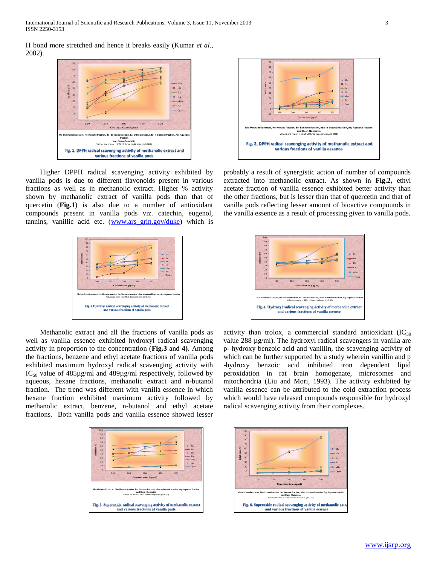H bond more stretched and hence it breaks easily (Kumar *et al*., 2002).



 Higher DPPH radical scavenging activity exhibited by vanilla pods is due to different flavonoids present in various fractions as well as in methanolic extract. Higher % activity shown by methanolic extract of vanilla pods than that of quercetin (**Fig.1**) is also due to a number of antioxidant compounds present in vanilla pods viz. catechin, eugenol, tannins, vanillic acid etc. [\(www.ars\\_grin.gov/duke\)](http://www.ars_grin.gov/duke) which is



 Methanolic extract and all the fractions of vanilla pods as well as vanilla essence exhibited hydroxyl radical scavenging activity in proportion to the concentration (**Fig.3** and **4)**. Among the fractions, benzene and ethyl acetate fractions of vanilla pods exhibited maximum hydroxyl radical scavenging activity with  $IC_{50}$  value of 485 $\mu$ g/ml and 489 $\mu$ g/ml respectively, followed by aqueous, hexane fractions, methanolic extract and n-butanol fraction. The trend was different with vanilla essence in which hexane fraction exhibited maximum activity followed by methanolic extract, benzene, n-butanol and ethyl acetate fractions. Both vanilla pods and vanilla essence showed lesser





probably a result of synergistic action of number of compounds extracted into methanolic extract. As shown in **Fig.2,** ethyl acetate fraction of vanilla essence exhibited better activity than the other fractions, but is lesser than that of quercetin and that of vanilla pods reflecting lesser amount of bioactive compounds in the vanilla essence as a result of processing given to vanilla pods.



activity than trolox, a commercial standard antioxidant  $(IC_{50}$ value 288 µg/ml). The hydroxyl radical scavengers in vanilla are p- hydroxy benzoic acid and vanillin, the scavenging activity of which can be further supported by a study wherein vanillin and p -hydroxy benzoic acid inhibited iron dependent lipid peroxidation in rat brain homogenate, microsomes and mitochondria (Liu and Mori, 1993). The activity exhibited by vanilla essence can be attributed to the cold extraction process which would have released compounds responsible for hydroxyl radical scavenging activity from their complexes.

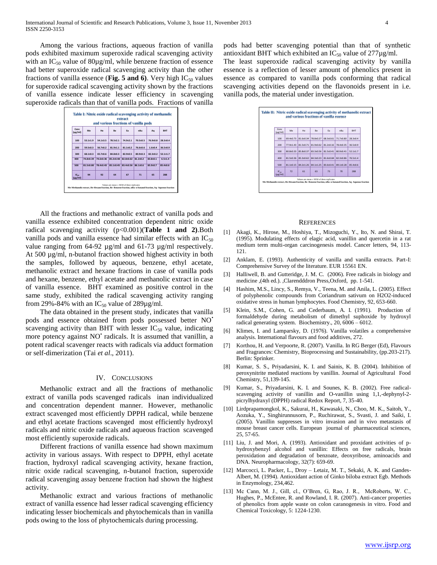Among the various fractions, aqueous fraction of vanilla pods exhibited maximum superoxide radical scavenging activity with an  $IC_{50}$  value of 80 $\mu$ g/ml, while benzene fraction of essence had better superoxide radical scavenging activity than the other fractions of vanilla essence (**Fig. 5 and 6**). Very high  $IC_{50}$  values for superoxide radical scavenging activity shown by the fractions of vanilla essence indicate lesser efficiency in scavenging superoxide radicals than that of vanilla pods. Fractions of vanilla

| and various fractions of vanilla pods |               |                |              |               |              |              |              |  |
|---------------------------------------|---------------|----------------|--------------|---------------|--------------|--------------|--------------|--|
| Conc<br>$(\mu$ g/ml)                  | Me            | He             | Be           | Fa            | nRu          | Aa           | <b>RHT</b>   |  |
| 100                                   | $53.1 + 1.9$  | $54.1{\pm}3.5$ | $78.5 + 2.1$ | $74.9 + 2.1$  | $70.5 + 0.5$ | 76.9+0.8     | $28.3 + 0.4$ |  |
| 200                                   | $59.5 + 0.3$  | 56.7+0.2       | $81.9 + 1.1$ | $81.1 + 0.2$  | 76.6+0.6     | $1.6 + 0.4$  | 36.5+0.9     |  |
| 300                                   | 68.1+0.3      | 65.7+0.6       | 84.8+0.3     | $82.9 + 0.5$  | $80.9 + 0.3$ | $82.3 + 0.2$ | $52.1 + 1.7$ |  |
| 400                                   | 74.8+0.39     | 74.6+0.36      | 85.2+0.48    | $82.8 + 0.62$ | $81.2 + 0.2$ | $83.8 + 0.1$ | $6.5 + 1.4$  |  |
| 500                                   | $81.5 + 0.80$ | 78.4+0.43      | 85.1+0.45    | 83.4±0.56     | 86.1+0.6     | 85.9+0.7     | 85.4+0.6     |  |
| IC <sub>co</sub><br>$(\mu$ g/ml)      | 94            | 92             | 64           | 67            | 71           | 65           | 288          |  |

 All the fractions and methanolic extract of vanilla pods and vanilla essence exhibited concentration dependent nitric oxide radical scavenging activity (p<0.001)(**Table 1 and 2)**.Both vanilla pods and vanilla essence had similar effects with an  $IC_{50}$ value ranging from 64-92 µg/ml and 61-73 µg/ml respectively. At 500 µg/ml, n-butanol fraction showed highest activity in both the samples, followed by aqueous, benzene, ethyl acetate, methanolic extract and hexane fractions in case of vanilla pods and hexane, benzene, ethyl acetate and methanolic extract in case of vanilla essence. BHT examined as positive control in the same study, exhibited the radical scavenging activity ranging from 29%-84% with an  $IC_{50}$  value of 289µg/ml.

 The data obtained in the present study, indicates that vanilla pods and essence obtained from pods possessed better NO• scavenging activity than BHT with lesser  $IC_{50}$  value, indicating more potency against NO<sup>+</sup> radicals. It is assumed that vanillin, a potent radical scavenger reacts with radicals via adduct formation or self-dimerization (Tai *et al*., 2011).

### IV. CONCLUSIONS

 Methanolic extract and all the fractions of methanolic extract of vanilla pods scavenged radicals inan individualized and concentration dependent manner. However, methanolic extract scavenged most efficiently DPPH radical, while benzene and ethyl acetate fractions scavenged most efficiently hydroxyl radicals and nitric oxide radicals and aqueous fraction scavenged most efficiently superoxide radicals.

 Different fractions of vanilla essence had shown maximum activity in various assays. With respect to DPPH, ethyl acetate fraction, hydroxyl radical scavenging activity, hexane fraction, nitric oxide radical scavenging, n-butanol fraction, superoxide radical scavenging assay benzene fraction had shown the highest activity.

 Methanolic extract and various fractions of methanolic extract of vanilla essence had lesser radical scavenging efficiency indicating lesser biochemicals and phytochemicals than in vanilla pods owing to the loss of phytochemicals during processing.

pods had better scavenging potential than that of synthetic antioxidant BHT which exhibited an  $IC_{50}$  value of 277 $\mu$ g/ml. The least superoxide radical scavenging activity by vanilla

essence is a reflection of lesser amount of phenolics present in essence as compared to vanilla pods conforming that radical scavenging activities depend on the flavonoids present in i.e. vanilla pods, the material under investigation.



#### **REFERENCES**

- [1] Akagi, K., Hirose, M., Hoshiya, T., Mizoguchi, Y., Ito, N. and Shirai, T. (1995). Modulating effects of elagic acid, vanillin and quercetin in a rat medium term multi-organ carcinogenesis model. Cancer letters, 94, 113- 121.
- [2] Anklam, E. (1993). Authenticity of vanilla and vanilla extracts. Part-I: Comprehensive Survey of the literature. EUR 15561 EN.
- [3] Halliwell, B. and Gutteridge, J. M. C. (2006). Free radicals in biology and medicine ,(4th ed.). ,Clarendddron Press,Oxford, pp. 1-541.
- [4] Hashim, M.S., Lincy, S., Remya, V., Teena, M. and Anila, L. (2005). Effect of polyphenolic compounds from Coriandrum sativum on H2O2-induced oxidative stress in human lymphocytes. Food Chemistry, 92, 653-660.
- [5] Klein, S.M., Cohen, G. and Cederbaum, A. I. (1991). Production of formaldehyde during metabolism of dimethyl suphoxide by hydroxyl radical generating system. Biochemistry., 20, 6006 – 6012.
- [6] Klimes, I. and Lamparsky, D. (1976). Vanilla volatiles a comprehensive analysis. International flavours and food additives, 272.
- [7] Korthou, H. and Verpoorte, R. (2007). Vanilla. In RG Berger (Ed), Flavours and Fragrances: Chemistry, Bioprocessing and Sustainability, (pp.203-217). Berlin: Sprinker.
- [8] Kumar, S. S., Priyadarsini, K. I. and Sainis, K. B. (2004). Inhibition of peroxynitrite mediated reactions by vanillin. Journal of Agricultural Food Chemistry, 51,139-145.
- [9] Kumar, S., Priyadarsini, K. I. and Sounes, K. B. (2002). Free radicalscavenging activity of vanillin and O-vanillin using 1,1,-dephynyl-2 picrylhydraxyl (DPPH) radical Redox Report, 7, 35-40.
- [10] Lirdprapamongkol, K., Sakurai, H., Kawasaki, N., Choo, M. K., Saitoh, Y., Aozuka, Y., Singhirunnusorn, P., Ruchirawat, S., Svasti, J. and Saiki, I. (2005). Vanillin suppresses in vitro invasion and in vivo metastasis of mouse breast cancer cells. European journal of pharmaceutical sciences, 25, 57-65.
- [11] Liu, J. and Mori, A. (1993). Antioxidant and proxidant activities of phydroxybenzyl alcohol and vanillin: Effects on free radicals, brain peroxidation and degradation of benzoate, deoxyribose, aminoacids and DNA. Neuropharmacology, 32(7): 659-69.
- [12] Marcocci, L. Packer, L., Droy Letaiz, M. T., Sekaki, A. K. and Gandes-Albert, M. (1994). Antioxidant action of Ginko biloba extract Egb. Methods in Enzymology, 234,462.
- [13] Mc Cann, M. J., Gill, cl., O'Bren, G, Rao, J. R., McRoberts, W. C., Hughes, P., McEntee, R. and Rowland, I. R. (2007). Anti-cancer properties of phenolics from apple waste on colon caranogenesis in vitro. Food and Chemical Toxicology, 5: 1224-1230.